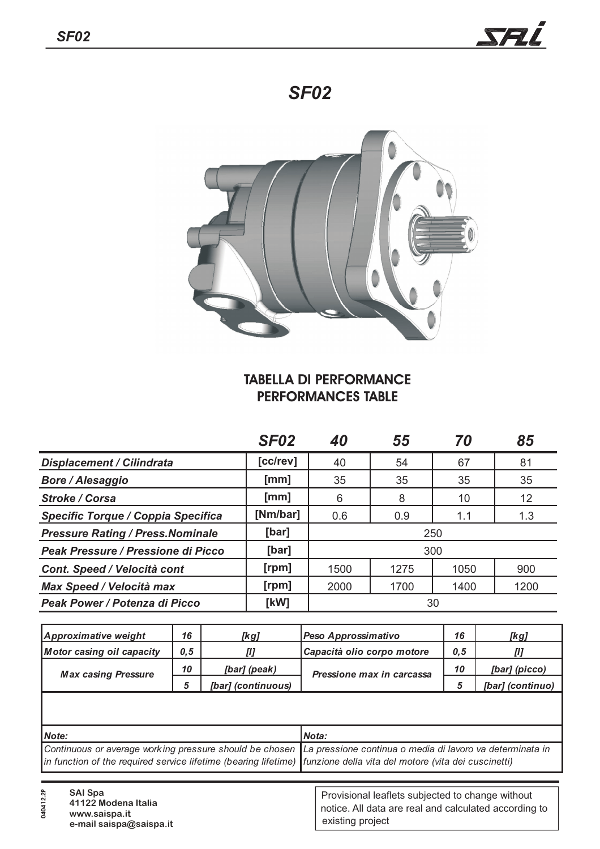# *SF02*



### **TABELLA DI PERFORMANCE PERFORMANCES TABLE**

|                                          | <b>SF02</b> | 40   | 55   | 70   | 85   |
|------------------------------------------|-------------|------|------|------|------|
| <b>Displacement / Cilindrata</b>         | [cc/rev]    | 40   | 54   | 67   | 81   |
| <b>Bore / Alesaggio</b>                  | [mm]        | 35   | 35   | 35   | 35   |
| <b>Stroke / Corsa</b>                    | [mm]        | 6    | 8    | 10   | 12   |
| Specific Torque / Coppia Specifica       | [Nm/bar]    | 0.6  | 0.9  | 1.1  | 1.3  |
| <b>Pressure Rating / Press. Nominale</b> | [bar]       | 250  |      |      |      |
| Peak Pressure / Pressione di Picco       | [bar]       | 300  |      |      |      |
| Cont. Speed / Velocità cont              | [rpm]       | 1500 | 1275 | 1050 | 900  |
| <b>Max Speed / Velocità max</b>          | [rpm]       | 2000 | 1700 | 1400 | 1200 |
| Peak Power / Potenza di Picco            | [kW]        | 30   |      |      |      |

|                    |                                   |                           | [kg]                                                                                                                                                                                                                                       |  |  |  |
|--------------------|-----------------------------------|---------------------------|--------------------------------------------------------------------------------------------------------------------------------------------------------------------------------------------------------------------------------------------|--|--|--|
|                    | Capacità olio corpo motore<br>[1] |                           | [l]                                                                                                                                                                                                                                        |  |  |  |
| [bar] (peak)       |                                   | 10                        | [bar] (picco)                                                                                                                                                                                                                              |  |  |  |
| [bar] (continuous) |                                   | 5                         | [bar] (continuo)                                                                                                                                                                                                                           |  |  |  |
|                    |                                   |                           |                                                                                                                                                                                                                                            |  |  |  |
| Note:              |                                   |                           | Nota:                                                                                                                                                                                                                                      |  |  |  |
|                    |                                   |                           |                                                                                                                                                                                                                                            |  |  |  |
| 10                 |                                   | Pressione max in carcassa | Continuous or average working pressure should be chosen  La pressione continua o media di lavoro va determinata in<br>in function of the required service lifetime (bearing lifetime) funzione della vita del motore (vita dei cuscinetti) |  |  |  |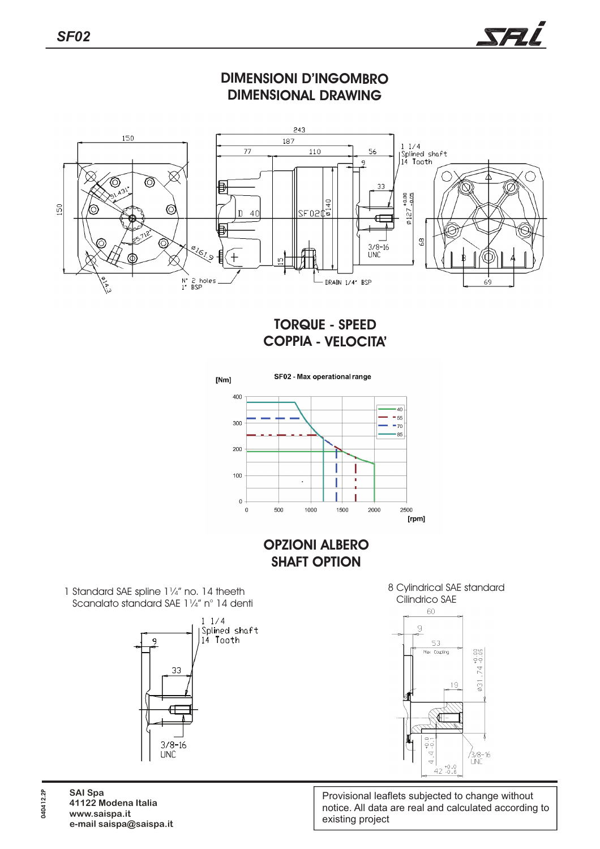### **DIMENSIONI D'INGOMBRO DIMENSIONAL DRAWING**



### **TORQUE - SPEED COPPIA - VELOCITA'**



#### **OPZIONI ALBERO SHAFT OPTION**

1 Standard SAE spline 11/4" no. 14 theeth Scanalato standard SAE 1¼" n° 14 denti







Provisional leaflets subjected to change without notice. All data are real and calculated according to existing project

**SAI Spa www.saispa.it e-mail saispa@saispa.it 41122 Modena Italia 040412.2P**